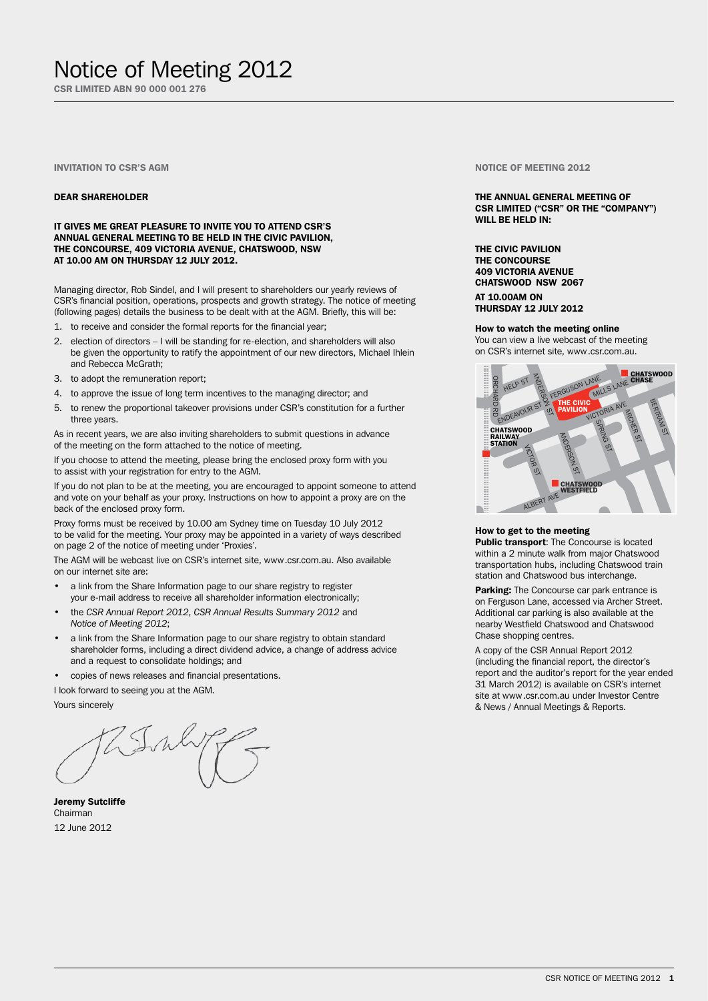## Notice of Meeting 2012

CSR LIMITED ABN 90 000 001 276

## Invitation to CSR's AGM

### DEAR SHAREHOLDER

IT GIVES ME GREAT PLEASURE TO INVITE YOU TO ATTEND CSR'S ANNUAL GENERAL MEETING TO BE HELD IN THE CIVIC PAVILION, THE CONCOURSE, 409 VICTORIA AVENUE, CHATSWOOD, NSW AT 10.00 AM ON THURSDAY 12 JULY 2012.

Managing director, Rob Sindel, and I will present to shareholders our yearly reviews of CSR's financial position, operations, prospects and growth strategy. The notice of meeting (following pages) details the business to be dealt with at the AGM. Briefly, this will be:

- 1. to receive and consider the formal reports for the financial year;
- 2. election of directors I will be standing for re-election, and shareholders will also be given the opportunity to ratify the appointment of our new directors, Michael Ihlein and Rebecca McGrath;
- 3. to adopt the remuneration report;
- 4. to approve the issue of long term incentives to the managing director; and
- 5. to renew the proportional takeover provisions under CSR's constitution for a further three years.

As in recent years, we are also inviting shareholders to submit questions in advance of the meeting on the form attached to the notice of meeting.

If you choose to attend the meeting, please bring the enclosed proxy form with you to assist with your registration for entry to the AGM.

If you do not plan to be at the meeting, you are encouraged to appoint someone to attend and vote on your behalf as your proxy. Instructions on how to appoint a proxy are on the back of the enclosed proxy form.

Proxy forms must be received by 10.00 am Sydney time on Tuesday 10 July 2012 to be valid for the meeting. Your proxy may be appointed in a variety of ways described on page 2 of the notice of meeting under 'Proxies'.

The AGM will be webcast live on CSR's internet site, www.csr.com.au. Also available on our internet site are:

- a link from the Share Information page to our share registry to register your e-mail address to receive all shareholder information electronically;
- the CSR Annual Report 2012, CSR Annual Results Summary 2012 and *Notice of Meeting 2012*;
- a link from the Share Information page to our share registry to obtain standard shareholder forms, including a direct dividend advice, a change of address advice and a request to consolidate holdings; and
- copies of news releases and financial presentations.

I look forward to seeing you at the AGM.

Yours sincerely

Jeremy Sutcliffe Chairman 12 June 2012

Notice of Meeting 2012

## THE ANNUAL GENERAL MEETING OF CSR LIMITED ("CSR" OR THE "COMPANY") WILL BE HELD IN:

THE CIVIC PAVILION THE CONCOURSE 409 VICTORIA AVENUE CHATSWOOD NSW 2067

AT 10.00AM ON THURSDAY 12 JULY 2012

How to watch the meeting online You can view a live webcast of the meeting on CSR's internet site, www.csr.com.au.



## How to get to the meeting

Public transport: The Concourse is located within a 2 minute walk from major Chatswood transportation hubs, including Chatswood train station and Chatswood bus interchange.

Parking: The Concourse car park entrance is on Ferguson Lane, accessed via Archer Street. Additional car parking is also available at the nearby Westfield Chatswood and Chatswood Chase shopping centres.

A copy of the CSR Annual Report 2012 (including the financial report, the director's report and the auditor's report for the year ended 31 March 2012) is available on CSR's internet site at www.csr.com.au under Investor Centre & News / Annual Meetings & Reports.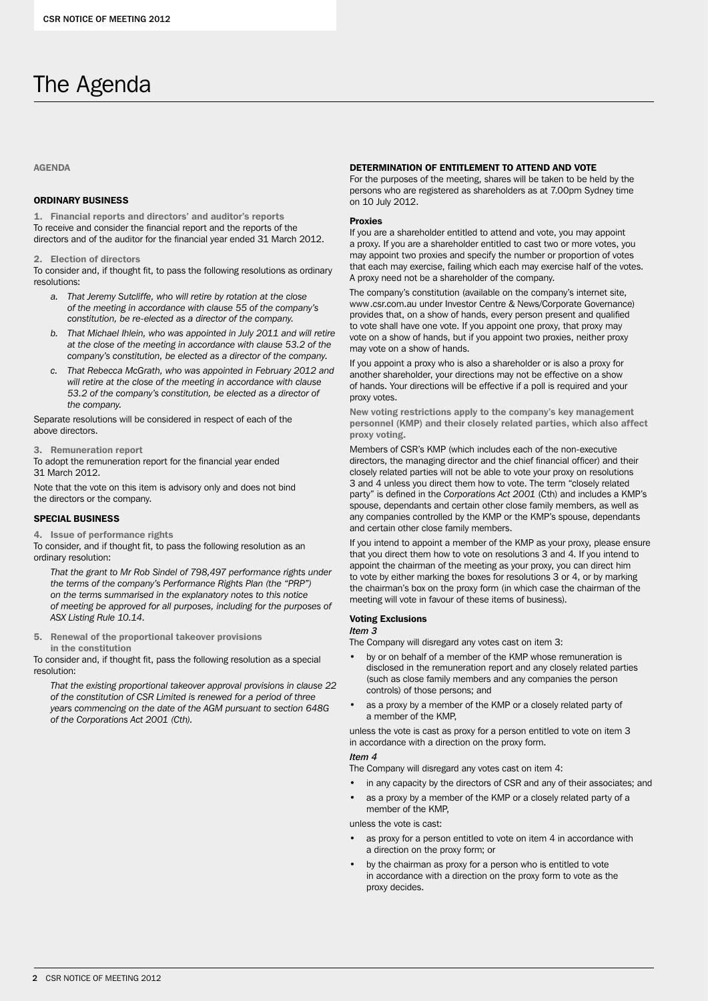# The Agenda

## AGENDA

## ORDINARY BUSINESS

1. Financial reports and directors' and auditor's reports To receive and consider the financial report and the reports of the directors and of the auditor for the financial year ended 31 March 2012.

2. Election of directors

To consider and, if thought fit, to pass the following resolutions as ordinary resolutions:

- *a. That Jeremy Sutcliffe, who will retire by rotation at the close of the meeting in accordance with clause 55 of the company's constitution, be re-elected as a director of the company.*
- *b. That Michael Ihlein, who was appointed in July 2011 and will retire at the close of the meeting in accordance with clause 53.2 of the company's constitution, be elected as a director of the company.*
- *c. That Rebecca McGrath, who was appointed in February 2012 and will retire at the close of the meeting in accordance with clause 53.2 of the company's constitution, be elected as a director of the company.*

Separate resolutions will be considered in respect of each of the above directors.

3. Remuneration report

To adopt the remuneration report for the financial year ended 31 March 2012.

Note that the vote on this item is advisory only and does not bind the directors or the company.

## SPECIAL BUSINESS

4. Issue of performance rights

To consider, and if thought fit, to pass the following resolution as an ordinary resolution:

*That the grant to Mr Rob Sindel of 798,497 performance rights under the terms of the company's Performance Rights Plan (the "PRP") on the terms summarised in the explanatory notes to this notice of meeting be approved for all purposes, including for the purposes of ASX Listing Rule 10.14*.

5. Renewal of the proportional takeover provisions in the constitution

To consider and, if thought fit, pass the following resolution as a special resolution:

*That the existing proportional takeover approval provisions in clause 22 of the constitution of CSR Limited is renewed for a period of three years commencing on the date of the AGM pursuant to section 648G of the Corporations Act 2001 (Cth).*

## DETERMINATION OF ENTITLEMENT TO ATTEND AND VOTE

For the purposes of the meeting, shares will be taken to be held by the persons who are registered as shareholders as at 7.00pm Sydney time on 10 July 2012.

### Proxies

If you are a shareholder entitled to attend and vote, you may appoint a proxy. If you are a shareholder entitled to cast two or more votes, you may appoint two proxies and specify the number or proportion of votes that each may exercise, failing which each may exercise half of the votes. A proxy need not be a shareholder of the company.

The company's constitution (available on the company's internet site, www.csr.com.au under Investor Centre & News/Corporate Governance) provides that, on a show of hands, every person present and qualified to vote shall have one vote. If you appoint one proxy, that proxy may vote on a show of hands, but if you appoint two proxies, neither proxy may vote on a show of hands.

If you appoint a proxy who is also a shareholder or is also a proxy for another shareholder, your directions may not be effective on a show of hands. Your directions will be effective if a poll is required and your proxy votes.

New voting restrictions apply to the company's key management personnel (KMP) and their closely related parties, which also affect proxy voting.

Members of CSR's KMP (which includes each of the non-executive directors, the managing director and the chief financial officer) and their closely related parties will not be able to vote your proxy on resolutions 3 and 4 unless you direct them how to vote. The term "closely related party" is defined in the *Corporations Act 2001* (Cth) and includes a KMP's spouse, dependants and certain other close family members, as well as any companies controlled by the KMP or the KMP's spouse, dependants and certain other close family members.

If you intend to appoint a member of the KMP as your proxy, please ensure that you direct them how to vote on resolutions 3 and 4. If you intend to appoint the chairman of the meeting as your proxy, you can direct him to vote by either marking the boxes for resolutions 3 or 4, or by marking the chairman's box on the proxy form (in which case the chairman of the meeting will vote in favour of these items of business).

## Voting Exclusions

## *Item 3*

The Company will disregard any votes cast on item 3:

- by or on behalf of a member of the KMP whose remuneration is disclosed in the remuneration report and any closely related parties (such as close family members and any companies the person controls) of those persons; and
- as a proxy by a member of the KMP or a closely related party of a member of the KMP,

unless the vote is cast as proxy for a person entitled to vote on item 3 in accordance with a direction on the proxy form.

## *Item 4*

The Company will disregard any votes cast on item 4:

- in any capacity by the directors of CSR and any of their associates; and
- as a proxy by a member of the KMP or a closely related party of a member of the KMP,

unless the vote is cast:

- as proxy for a person entitled to vote on item 4 in accordance with a direction on the proxy form; or
- by the chairman as proxy for a person who is entitled to vote in accordance with a direction on the proxy form to vote as the proxy decides.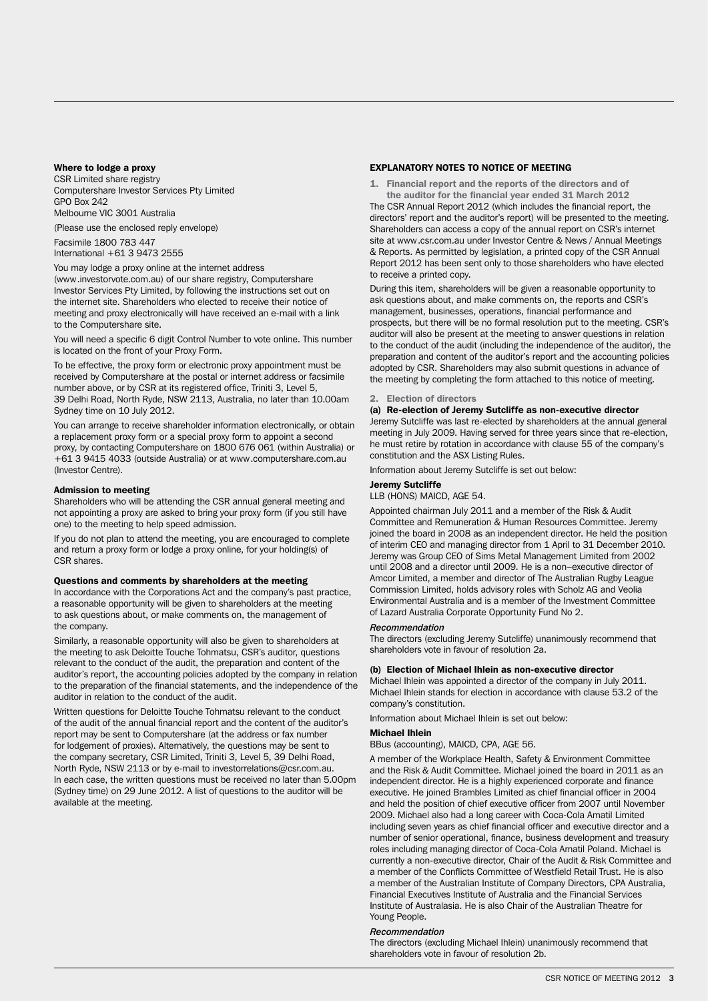## Where to lodge a proxy

CSR Limited share registry Computershare Investor Services Pty Limited GPO Box 242 Melbourne VIC 3001 Australia

(Please use the enclosed reply envelope)

Facsimile 1800 783 447 International +61 3 9473 2555

You may lodge a proxy online at the internet address (www.investorvote.com.au) of our share registry, Computershare Investor Services Pty Limited, by following the instructions set out on the internet site. Shareholders who elected to receive their notice of meeting and proxy electronically will have received an e-mail with a link to the Computershare site.

You will need a specific 6 digit Control Number to vote online. This number is located on the front of your Proxy Form.

To be effective, the proxy form or electronic proxy appointment must be received by Computershare at the postal or internet address or facsimile number above, or by CSR at its registered office, Triniti 3, Level 5, 39 Delhi Road, North Ryde, NSW 2113, Australia, no later than 10.00am Sydney time on 10 July 2012.

You can arrange to receive shareholder information electronically, or obtain a replacement proxy form or a special proxy form to appoint a second proxy, by contacting Computershare on 1800 676 061 (within Australia) or +61 3 9415 4033 (outside Australia) or at www.computershare.com.au (Investor Centre).

## Admission to meeting

Shareholders who will be attending the CSR annual general meeting and not appointing a proxy are asked to bring your proxy form (if you still have one) to the meeting to help speed admission.

If you do not plan to attend the meeting, you are encouraged to complete and return a proxy form or lodge a proxy online, for your holding(s) of CSR shares.

## Questions and comments by shareholders at the meeting

In accordance with the Corporations Act and the company's past practice, a reasonable opportunity will be given to shareholders at the meeting to ask questions about, or make comments on, the management of the company.

Similarly, a reasonable opportunity will also be given to shareholders at the meeting to ask Deloitte Touche Tohmatsu, CSR's auditor, questions relevant to the conduct of the audit, the preparation and content of the auditor's report, the accounting policies adopted by the company in relation to the preparation of the financial statements, and the independence of the auditor in relation to the conduct of the audit.

Written questions for Deloitte Touche Tohmatsu relevant to the conduct of the audit of the annual financial report and the content of the auditor's report may be sent to Computershare (at the address or fax number for lodgement of proxies). Alternatively, the questions may be sent to the company secretary, CSR Limited, Triniti 3, Level 5, 39 Delhi Road, North Ryde, NSW 2113 or by e-mail to investorrelations@csr.com.au. In each case, the written questions must be received no later than 5.00pm (Sydney time) on 29 June 2012. A list of questions to the auditor will be available at the meeting.

## EXPLANATORY NOTES TO NOTICE OF MEETING

1. Financial report and the reports of the directors and of

the auditor for the financial year ended 31 March 2012 The CSR Annual Report 2012 (which includes the financial report, the directors' report and the auditor's report) will be presented to the meeting. Shareholders can access a copy of the annual report on CSR's internet site at www.csr.com.au under Investor Centre & News / Annual Meetings & Reports. As permitted by legislation, a printed copy of the CSR Annual Report 2012 has been sent only to those shareholders who have elected to receive a printed copy.

During this item, shareholders will be given a reasonable opportunity to ask questions about, and make comments on, the reports and CSR's management, businesses, operations, financial performance and prospects, but there will be no formal resolution put to the meeting. CSR's auditor will also be present at the meeting to answer questions in relation to the conduct of the audit (including the independence of the auditor), the preparation and content of the auditor's report and the accounting policies adopted by CSR. Shareholders may also submit questions in advance of the meeting by completing the form attached to this notice of meeting.

## 2. Election of directors

(a) Re-election of Jeremy Sutcliffe as non-executive director Jeremy Sutcliffe was last re-elected by shareholders at the annual general meeting in July 2009. Having served for three years since that re-election, he must retire by rotation in accordance with clause 55 of the company's constitution and the ASX Listing Rules.

Information about Jeremy Sutcliffe is set out below:

## Jeremy Sutcliffe

LLB (HONS) MAICD, AGE 54.

Appointed chairman July 2011 and a member of the Risk & Audit Committee and Remuneration & Human Resources Committee. Jeremy joined the board in 2008 as an independent director. He held the position of interim CEO and managing director from 1 April to 31 December 2010. Jeremy was Group CEO of Sims Metal Management Limited from 2002 until 2008 and a director until 2009. He is a non–executive director of Amcor Limited, a member and director of The Australian Rugby League Commission Limited, holds advisory roles with Scholz AG and Veolia Environmental Australia and is a member of the Investment Committee of Lazard Australia Corporate Opportunity Fund No 2.

### *Recommendation*

The directors (excluding Jeremy Sutcliffe) unanimously recommend that shareholders vote in favour of resolution 2a.

## (b) Election of Michael Ihlein as non-executive director

Michael Ihlein was appointed a director of the company in July 2011. Michael Ihlein stands for election in accordance with clause 53.2 of the company's constitution.

Information about Michael Ihlein is set out below:

### Michael Ihlein

BBus (accounting), MAICD, CPA, AGE 56.

A member of the Workplace Health, Safety & Environment Committee and the Risk & Audit Committee. Michael joined the board in 2011 as an independent director. He is a highly experienced corporate and finance executive. He joined Brambles Limited as chief financial officer in 2004 and held the position of chief executive officer from 2007 until November 2009. Michael also had a long career with Coca-Cola Amatil Limited including seven years as chief financial officer and executive director and a number of senior operational, finance, business development and treasury roles including managing director of Coca-Cola Amatil Poland. Michael is currently a non-executive director, Chair of the Audit & Risk Committee and a member of the Conflicts Committee of Westfield Retail Trust. He is also a member of the Australian Institute of Company Directors, CPA Australia, Financial Executives Institute of Australia and the Financial Services Institute of Australasia. He is also Chair of the Australian Theatre for Young People.

## *Recommendation*

The directors (excluding Michael Ihlein) unanimously recommend that shareholders vote in favour of resolution 2b.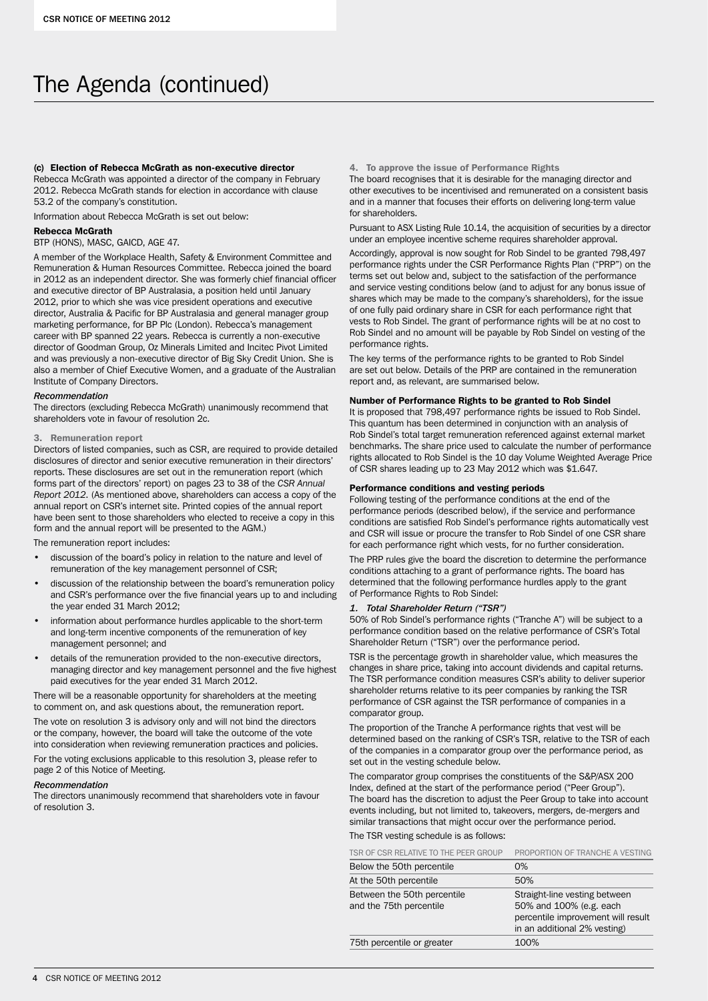# The Agenda (continued)

## (c) Election of Rebecca McGrath as non-executive director

Rebecca McGrath was appointed a director of the company in February 2012. Rebecca McGrath stands for election in accordance with clause 53.2 of the company's constitution.

Information about Rebecca McGrath is set out below:

## Rebecca McGrath

## BTP (HONS), MASC, GAICD, AGE 47.

A member of the Workplace Health, Safety & Environment Committee and Remuneration & Human Resources Committee. Rebecca joined the board in 2012 as an independent director. She was formerly chief financial officer and executive director of BP Australasia, a position held until January 2012, prior to which she was vice president operations and executive director, Australia & Pacific for BP Australasia and general manager group marketing performance, for BP Plc (London). Rebecca's management career with BP spanned 22 years. Rebecca is currently a non-executive director of Goodman Group, Oz Minerals Limited and Incitec Pivot Limited and was previously a non-executive director of Big Sky Credit Union. She is also a member of Chief Executive Women, and a graduate of the Australian Institute of Company Directors.

## *Recommendation*

The directors (excluding Rebecca McGrath) unanimously recommend that shareholders vote in favour of resolution 2c.

## 3. Remuneration report

Directors of listed companies, such as CSR, are required to provide detailed disclosures of director and senior executive remuneration in their directors' reports. These disclosures are set out in the remuneration report (which forms part of the directors' report) on pages 23 to 38 of the *CSR Annual Report 2012*. (As mentioned above, shareholders can access a copy of the annual report on CSR's internet site. Printed copies of the annual report have been sent to those shareholders who elected to receive a copy in this form and the annual report will be presented to the AGM.)

The remuneration report includes:

- discussion of the board's policy in relation to the nature and level of remuneration of the key management personnel of CSR;
- discussion of the relationship between the board's remuneration policy and CSR's performance over the five financial years up to and including the year ended 31 March 2012;
- information about performance hurdles applicable to the short-term and long-term incentive components of the remuneration of key management personnel; and
- details of the remuneration provided to the non-executive directors, managing director and key management personnel and the five highest paid executives for the year ended 31 March 2012.

There will be a reasonable opportunity for shareholders at the meeting to comment on, and ask questions about, the remuneration report.

The vote on resolution 3 is advisory only and will not bind the directors or the company, however, the board will take the outcome of the vote into consideration when reviewing remuneration practices and policies.

For the voting exclusions applicable to this resolution 3, please refer to page 2 of this Notice of Meeting.

## *Recommendation*

The directors unanimously recommend that shareholders vote in favour of resolution 3.

## 4. To approve the issue of Performance Rights

The board recognises that it is desirable for the managing director and other executives to be incentivised and remunerated on a consistent basis and in a manner that focuses their efforts on delivering long-term value for shareholders.

Pursuant to ASX Listing Rule 10.14, the acquisition of securities by a director under an employee incentive scheme requires shareholder approval.

Accordingly, approval is now sought for Rob Sindel to be granted 798,497 performance rights under the CSR Performance Rights Plan ("PRP") on the terms set out below and, subject to the satisfaction of the performance and service vesting conditions below (and to adjust for any bonus issue of shares which may be made to the company's shareholders), for the issue of one fully paid ordinary share in CSR for each performance right that vests to Rob Sindel. The grant of performance rights will be at no cost to Rob Sindel and no amount will be payable by Rob Sindel on vesting of the performance rights.

The key terms of the performance rights to be granted to Rob Sindel are set out below. Details of the PRP are contained in the remuneration report and, as relevant, are summarised below.

## Number of Performance Rights to be granted to Rob Sindel

It is proposed that 798,497 performance rights be issued to Rob Sindel. This quantum has been determined in conjunction with an analysis of Rob Sindel's total target remuneration referenced against external market benchmarks. The share price used to calculate the number of performance rights allocated to Rob Sindel is the 10 day Volume Weighted Average Price of CSR shares leading up to 23 May 2012 which was \$1.647.

## Performance conditions and vesting periods

Following testing of the performance conditions at the end of the performance periods (described below), if the service and performance conditions are satisfied Rob Sindel's performance rights automatically vest and CSR will issue or procure the transfer to Rob Sindel of one CSR share for each performance right which vests, for no further consideration.

The PRP rules give the board the discretion to determine the performance conditions attaching to a grant of performance rights. The board has determined that the following performance hurdles apply to the grant of Performance Rights to Rob Sindel:

## *1. Total Shareholder Return ("TSR")*

50% of Rob Sindel's performance rights ("Tranche A") will be subject to a performance condition based on the relative performance of CSR's Total Shareholder Return ("TSR") over the performance period.

TSR is the percentage growth in shareholder value, which measures the changes in share price, taking into account dividends and capital returns. The TSR performance condition measures CSR's ability to deliver superior shareholder returns relative to its peer companies by ranking the TSR performance of CSR against the TSR performance of companies in a comparator group.

The proportion of the Tranche A performance rights that vest will be determined based on the ranking of CSR's TSR, relative to the TSR of each of the companies in a comparator group over the performance period, as set out in the vesting schedule below.

The comparator group comprises the constituents of the S&P/ASX 200 Index, defined at the start of the performance period ("Peer Group"). The board has the discretion to adjust the Peer Group to take into account events including, but not limited to, takeovers, mergers, de-mergers and similar transactions that might occur over the performance period.

## The TSR vesting schedule is as follows:

| TSR OF CSR RELATIVE TO THE PEER GROUP                  | PROPORTION OF TRANCHE A VESTING                                                                                                |
|--------------------------------------------------------|--------------------------------------------------------------------------------------------------------------------------------|
| Below the 50th percentile                              | $0\%$                                                                                                                          |
| At the 50th percentile                                 | 50%                                                                                                                            |
| Between the 50th percentile<br>and the 75th percentile | Straight-line vesting between<br>50% and 100% (e.g. each<br>percentile improvement will result<br>in an additional 2% vesting) |
| 75th percentile or greater                             | 100%                                                                                                                           |
|                                                        |                                                                                                                                |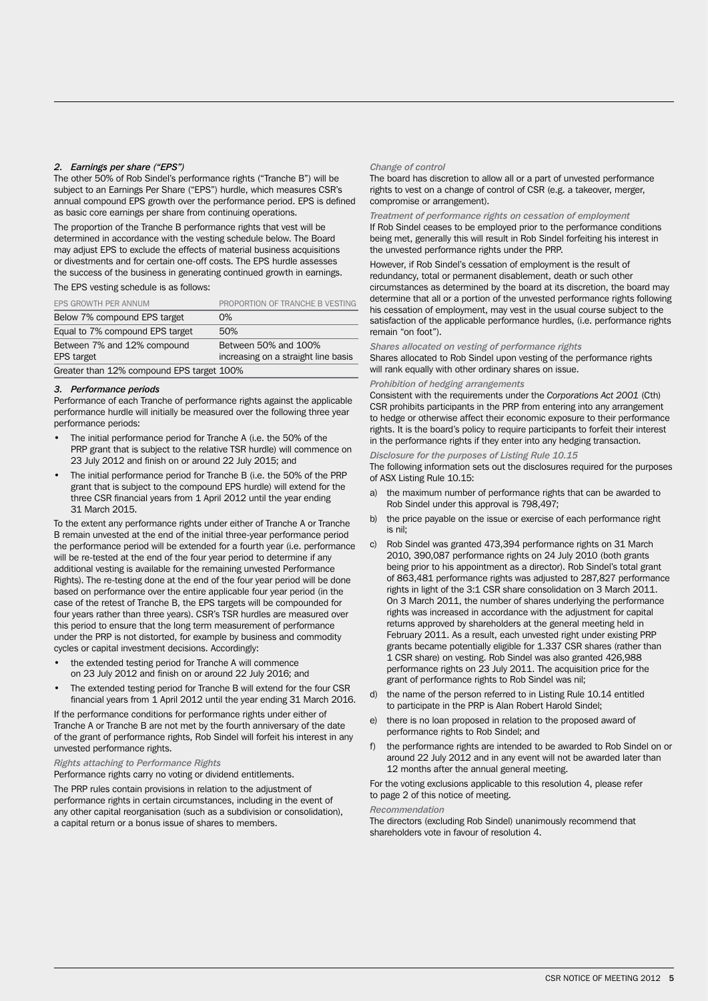## *2. Earnings per share ("EPS")*

The other 50% of Rob Sindel's performance rights ("Tranche B") will be subject to an Earnings Per Share ("EPS") hurdle, which measures CSR's annual compound EPS growth over the performance period. EPS is defined as basic core earnings per share from continuing operations.

The proportion of the Tranche B performance rights that vest will be determined in accordance with the vesting schedule below. The Board may adjust EPS to exclude the effects of material business acquisitions or divestments and for certain one-off costs. The EPS hurdle assesses the success of the business in generating continued growth in earnings.

The EPS vesting schedule is as follows:

| EPS GROWTH PER ANNUM                             | PROPORTION OF TRANCHE B VESTING                             |
|--------------------------------------------------|-------------------------------------------------------------|
| Below 7% compound EPS target                     | 0%                                                          |
| Equal to 7% compound EPS target                  | 50%                                                         |
| Between 7% and 12% compound<br><b>EPS</b> target | Between 50% and 100%<br>increasing on a straight line basis |
| Greater than 12% compound EPS target 100%        |                                                             |

### *3. Performance periods*

Performance of each Tranche of performance rights against the applicable performance hurdle will initially be measured over the following three year performance periods:

- The initial performance period for Tranche A (i.e. the 50% of the PRP grant that is subject to the relative TSR hurdle) will commence on 23 July 2012 and finish on or around 22 July 2015; and
- The initial performance period for Tranche B (i.e. the 50% of the PRP grant that is subject to the compound EPS hurdle) will extend for the three CSR financial years from 1 April 2012 until the year ending 31 March 2015.

To the extent any performance rights under either of Tranche A or Tranche B remain unvested at the end of the initial three-year performance period the performance period will be extended for a fourth year (i.e. performance will be re-tested at the end of the four year period to determine if any additional vesting is available for the remaining unvested Performance Rights). The re-testing done at the end of the four year period will be done based on performance over the entire applicable four year period (in the case of the retest of Tranche B, the EPS targets will be compounded for four years rather than three years). CSR's TSR hurdles are measured over this period to ensure that the long term measurement of performance under the PRP is not distorted, for example by business and commodity cycles or capital investment decisions. Accordingly:

- the extended testing period for Tranche A will commence on 23 July 2012 and finish on or around 22 July 2016; and
- The extended testing period for Tranche B will extend for the four CSR financial years from 1 April 2012 until the year ending 31 March 2016.

If the performance conditions for performance rights under either of Tranche A or Tranche B are not met by the fourth anniversary of the date of the grant of performance rights, Rob Sindel will forfeit his interest in any unvested performance rights.

## *Rights attaching to Performance Rights*

Performance rights carry no voting or dividend entitlements.

The PRP rules contain provisions in relation to the adjustment of performance rights in certain circumstances, including in the event of any other capital reorganisation (such as a subdivision or consolidation), a capital return or a bonus issue of shares to members.

### *Change of control*

The board has discretion to allow all or a part of unvested performance rights to vest on a change of control of CSR (e.g. a takeover, merger, compromise or arrangement).

## *Treatment of performance rights on cessation of employment*

If Rob Sindel ceases to be employed prior to the performance conditions being met, generally this will result in Rob Sindel forfeiting his interest in the unvested performance rights under the PRP.

However, if Rob Sindel's cessation of employment is the result of redundancy, total or permanent disablement, death or such other circumstances as determined by the board at its discretion, the board may determine that all or a portion of the unvested performance rights following his cessation of employment, may vest in the usual course subject to the satisfaction of the applicable performance hurdles, (i.e. performance rights remain "on foot").

### *Shares allocated on vesting of performance rights*

Shares allocated to Rob Sindel upon vesting of the performance rights will rank equally with other ordinary shares on issue.

## *Prohibition of hedging arrangements*

Consistent with the requirements under the *Corporations Act 2001* (Cth) CSR prohibits participants in the PRP from entering into any arrangement to hedge or otherwise affect their economic exposure to their performance rights. It is the board's policy to require participants to forfeit their interest in the performance rights if they enter into any hedging transaction.

*Disclosure for the purposes of Listing Rule 10.15*

- The following information sets out the disclosures required for the purposes of ASX Listing Rule 10.15:
- a) the maximum number of performance rights that can be awarded to Rob Sindel under this approval is 798,497;
- b) the price payable on the issue or exercise of each performance right is nil;
- c) Rob Sindel was granted 473,394 performance rights on 31 March 2010, 390,087 performance rights on 24 July 2010 (both grants being prior to his appointment as a director). Rob Sindel's total grant of 863,481 performance rights was adjusted to 287,827 performance rights in light of the 3:1 CSR share consolidation on 3 March 2011. On 3 March 2011, the number of shares underlying the performance rights was increased in accordance with the adjustment for capital returns approved by shareholders at the general meeting held in February 2011. As a result, each unvested right under existing PRP grants became potentially eligible for 1.337 CSR shares (rather than 1 CSR share) on vesting. Rob Sindel was also granted 426,988 performance rights on 23 July 2011. The acquisition price for the grant of performance rights to Rob Sindel was nil;
- d) the name of the person referred to in Listing Rule 10.14 entitled to participate in the PRP is Alan Robert Harold Sindel;
- e) there is no loan proposed in relation to the proposed award of performance rights to Rob Sindel; and
- f) the performance rights are intended to be awarded to Rob Sindel on or around 22 July 2012 and in any event will not be awarded later than 12 months after the annual general meeting.

For the voting exclusions applicable to this resolution 4, please refer to page 2 of this notice of meeting.

#### *Recommendation*

The directors (excluding Rob Sindel) unanimously recommend that shareholders vote in favour of resolution 4.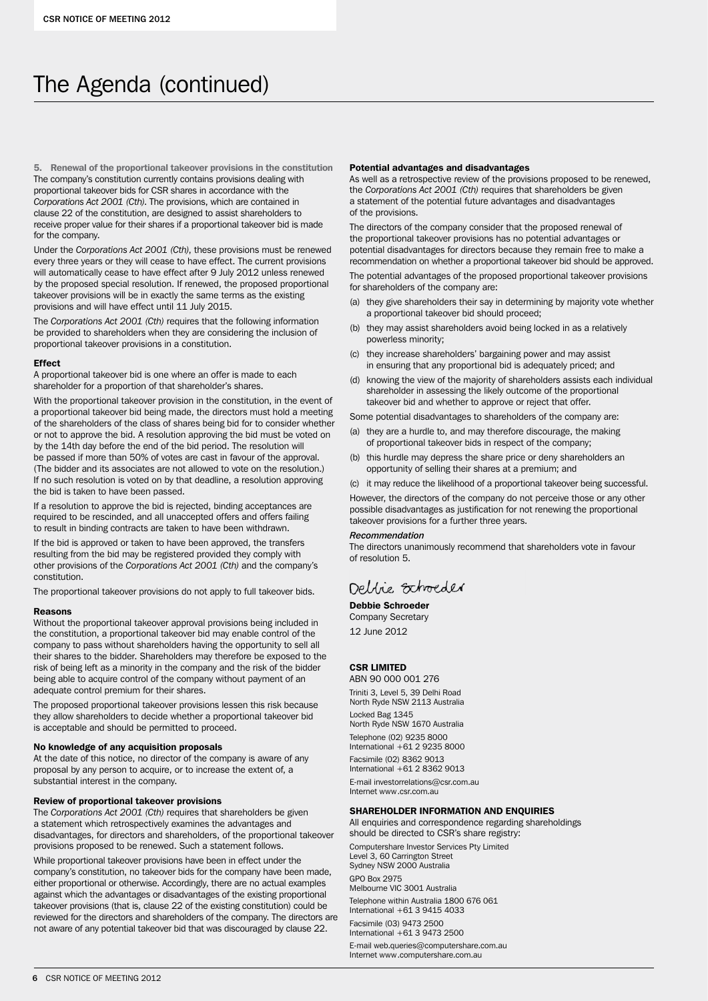# The Agenda (continued)

5. Renewal of the proportional takeover provisions in the constitution The company's constitution currently contains provisions dealing with proportional takeover bids for CSR shares in accordance with the *Corporations Act 2001 (Cth)*. The provisions, which are contained in clause 22 of the constitution, are designed to assist shareholders to receive proper value for their shares if a proportional takeover bid is made for the company.

Under the *Corporations Act 2001 (Cth)*, these provisions must be renewed every three years or they will cease to have effect. The current provisions will automatically cease to have effect after 9 July 2012 unless renewed by the proposed special resolution. If renewed, the proposed proportional takeover provisions will be in exactly the same terms as the existing provisions and will have effect until 11 July 2015.

The *Corporations Act 2001 (Cth)* requires that the following information be provided to shareholders when they are considering the inclusion of proportional takeover provisions in a constitution.

## Effect

A proportional takeover bid is one where an offer is made to each shareholder for a proportion of that shareholder's shares.

With the proportional takeover provision in the constitution, in the event of a proportional takeover bid being made, the directors must hold a meeting of the shareholders of the class of shares being bid for to consider whether or not to approve the bid. A resolution approving the bid must be voted on by the 14th day before the end of the bid period. The resolution will be passed if more than 50% of votes are cast in favour of the approval. (The bidder and its associates are not allowed to vote on the resolution.) If no such resolution is voted on by that deadline, a resolution approving the bid is taken to have been passed.

If a resolution to approve the bid is rejected, binding acceptances are required to be rescinded, and all unaccepted offers and offers failing to result in binding contracts are taken to have been withdrawn.

If the bid is approved or taken to have been approved, the transfers resulting from the bid may be registered provided they comply with other provisions of the *Corporations Act 2001 (Cth)* and the company's constitution.

The proportional takeover provisions do not apply to full takeover bids.

### Reasons

Without the proportional takeover approval provisions being included in the constitution, a proportional takeover bid may enable control of the company to pass without shareholders having the opportunity to sell all their shares to the bidder. Shareholders may therefore be exposed to the risk of being left as a minority in the company and the risk of the bidder being able to acquire control of the company without payment of an adequate control premium for their shares.

The proposed proportional takeover provisions lessen this risk because they allow shareholders to decide whether a proportional takeover bid is acceptable and should be permitted to proceed.

## No knowledge of any acquisition proposals

At the date of this notice, no director of the company is aware of any proposal by any person to acquire, or to increase the extent of, a substantial interest in the company.

## Review of proportional takeover provisions

The *Corporations Act 2001 (Cth)* requires that shareholders be given a statement which retrospectively examines the advantages and disadvantages, for directors and shareholders, of the proportional takeover provisions proposed to be renewed. Such a statement follows.

While proportional takeover provisions have been in effect under the company's constitution, no takeover bids for the company have been made, either proportional or otherwise. Accordingly, there are no actual examples against which the advantages or disadvantages of the existing proportional takeover provisions (that is, clause 22 of the existing constitution) could be reviewed for the directors and shareholders of the company. The directors are not aware of any potential takeover bid that was discouraged by clause 22.

#### Potential advantages and disadvantages

As well as a retrospective review of the provisions proposed to be renewed, the *Corporations Act 2001 (Cth)* requires that shareholders be given a statement of the potential future advantages and disadvantages of the provisions.

The directors of the company consider that the proposed renewal of the proportional takeover provisions has no potential advantages or potential disadvantages for directors because they remain free to make a recommendation on whether a proportional takeover bid should be approved. The potential advantages of the proposed proportional takeover provisions for shareholders of the company are:

- (a) they give shareholders their say in determining by majority vote whether a proportional takeover bid should proceed;
- (b) they may assist shareholders avoid being locked in as a relatively powerless minority;
- (c) they increase shareholders' bargaining power and may assist in ensuring that any proportional bid is adequately priced; and
- (d) knowing the view of the majority of shareholders assists each individual shareholder in assessing the likely outcome of the proportional takeover bid and whether to approve or reject that offer.

Some potential disadvantages to shareholders of the company are:

- (a) they are a hurdle to, and may therefore discourage, the making of proportional takeover bids in respect of the company;
- (b) this hurdle may depress the share price or deny shareholders an opportunity of selling their shares at a premium; and
- (c) it may reduce the likelihood of a proportional takeover being successful.

However, the directors of the company do not perceive those or any other possible disadvantages as justification for not renewing the proportional takeover provisions for a further three years.

### *Recommendation*

The directors unanimously recommend that shareholders vote in favour of resolution 5.

## Dellie Schoeder

## Debbie Schroeder

Company Secretary 12 June 2012

## CSR LIMITED

ABN 90 000 001 276 Triniti 3, Level 5, 39 Delhi Road North Ryde NSW 2113 Australia Locked Bag 1345 North Ryde NSW 1670 Australia Telephone (02) 9235 8000 International +61 2 9235 8000 Facsimile (02) 8362 9013

International  $+61$  2 8362 9013 E-mail investorrelations@csr.com.au

Internet www.csr.com.au

## SHAREHOLDER INFORMATION AND ENQUIRIES

All enquiries and correspondence regarding shareholdings should be directed to CSR's share registry:

Computershare Investor Services Pty Limited Level 3, 60 Carrington Street Sydney NSW 2000 Australia GPO Box 2975 Melbourne VIC 3001 Australia Telephone within Australia 1800 676 061 International +61 3 9415 4033 Facsimile (03) 9473 2500 International +61 3 9473 2500 E-mail web.queries@computershare.com.au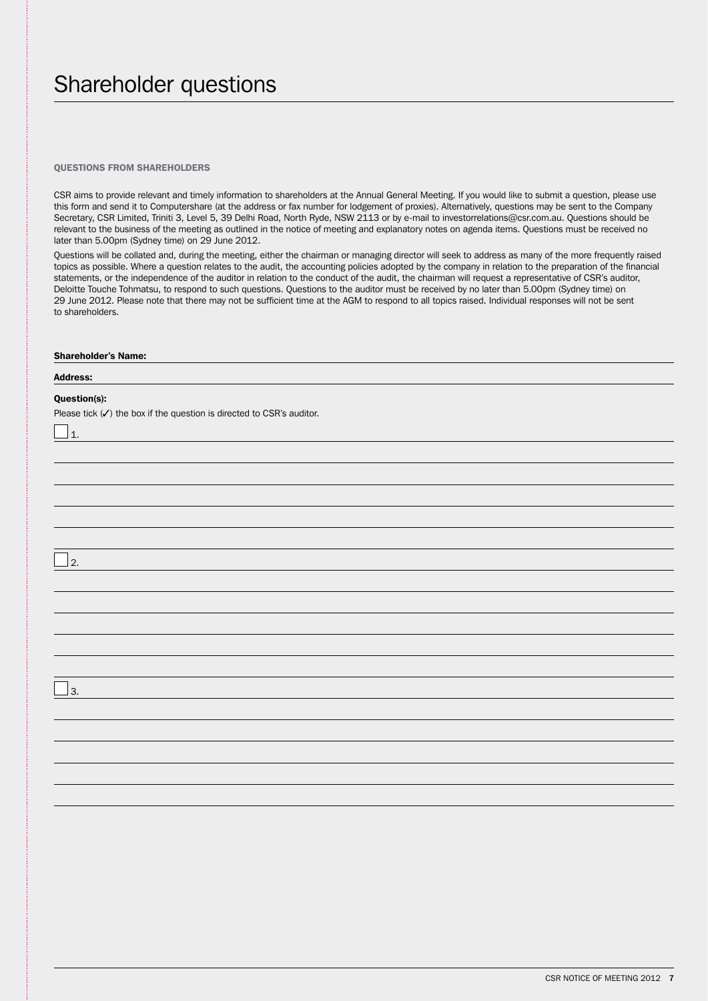# Shareholder questions

## Questions from Shareholders

CSR aims to provide relevant and timely information to shareholders at the Annual General Meeting. If you would like to submit a question, please use this form and send it to Computershare (at the address or fax number for lodgement of proxies). Alternatively, questions may be sent to the Company Secretary, CSR Limited, Triniti 3, Level 5, 39 Delhi Road, North Ryde, NSW 2113 or by e-mail to investorrelations@csr.com.au. Questions should be relevant to the business of the meeting as outlined in the notice of meeting and explanatory notes on agenda items. Questions must be received no later than 5.00pm (Sydney time) on 29 June 2012.

Questions will be collated and, during the meeting, either the chairman or managing director will seek to address as many of the more frequently raised topics as possible. Where a question relates to the audit, the accounting policies adopted by the company in relation to the preparation of the financial statements, or the independence of the auditor in relation to the conduct of the audit, the chairman will request a representative of CSR's auditor, Deloitte Touche Tohmatsu, to respond to such questions. Questions to the auditor must be received by no later than 5.00pm (Sydney time) on 29 June 2012. Please note that there may not be sufficient time at the AGM to respond to all topics raised. Individual responses will not be sent to shareholders.

| <b>Shareholder's Name:</b>                                                       |
|----------------------------------------------------------------------------------|
| <b>Address:</b>                                                                  |
| Question(s):                                                                     |
| Please tick $(\checkmark)$ the box if the question is directed to CSR's auditor. |
| $\Box$ 1.                                                                        |
|                                                                                  |
|                                                                                  |
|                                                                                  |
|                                                                                  |
|                                                                                  |
| $\mathbf{I}_2$                                                                   |
|                                                                                  |
|                                                                                  |
|                                                                                  |
|                                                                                  |
|                                                                                  |
|                                                                                  |
| $\mathbf{I}$ 3.                                                                  |
|                                                                                  |
|                                                                                  |
|                                                                                  |
|                                                                                  |
|                                                                                  |
|                                                                                  |
|                                                                                  |
|                                                                                  |
|                                                                                  |
|                                                                                  |
|                                                                                  |
|                                                                                  |